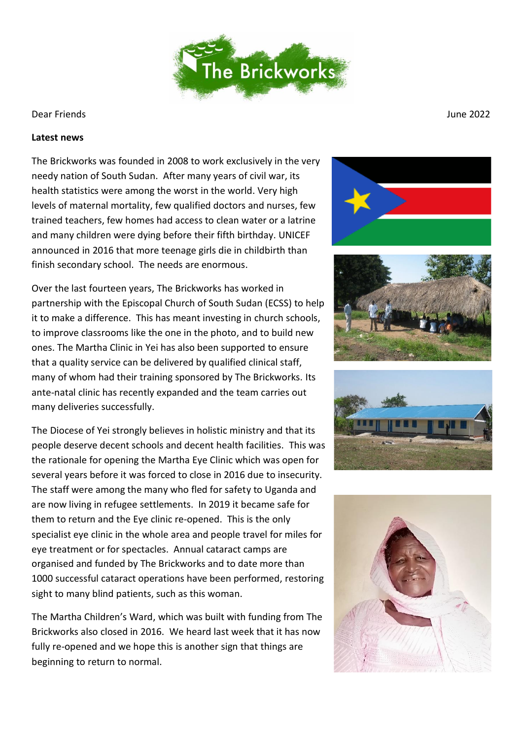

## Dear Friends June 2022

## **Latest news**

The Brickworks was founded in 2008 to work exclusively in the very needy nation of South Sudan. After many years of civil war, its health statistics were among the worst in the world. Very high levels of maternal mortality, few qualified doctors and nurses, few trained teachers, few homes had access to clean water or a latrine and many children were dying before their fifth birthday. UNICEF announced in 2016 that more teenage girls die in childbirth than finish secondary school. The needs are enormous.

Over the last fourteen years, The Brickworks has worked in partnership with the Episcopal Church of South Sudan (ECSS) to help it to make a difference. This has meant investing in church schools, to improve classrooms like the one in the photo, and to build new ones. The Martha Clinic in Yei has also been supported to ensure that a quality service can be delivered by qualified clinical staff, many of whom had their training sponsored by The Brickworks. Its ante-natal clinic has recently expanded and the team carries out many deliveries successfully.

The Diocese of Yei strongly believes in holistic ministry and that its people deserve decent schools and decent health facilities. This was the rationale for opening the Martha Eye Clinic which was open for several years before it was forced to close in 2016 due to insecurity. The staff were among the many who fled for safety to Uganda and are now living in refugee settlements. In 2019 it became safe for them to return and the Eye clinic re-opened. This is the only specialist eye clinic in the whole area and people travel for miles for eye treatment or for spectacles. Annual cataract camps are organised and funded by The Brickworks and to date more than 1000 successful cataract operations have been performed, restoring sight to many blind patients, such as this woman.

The Martha Children's Ward, which was built with funding from The Brickworks also closed in 2016. We heard last week that it has now fully re-opened and we hope this is another sign that things are beginning to return to normal.